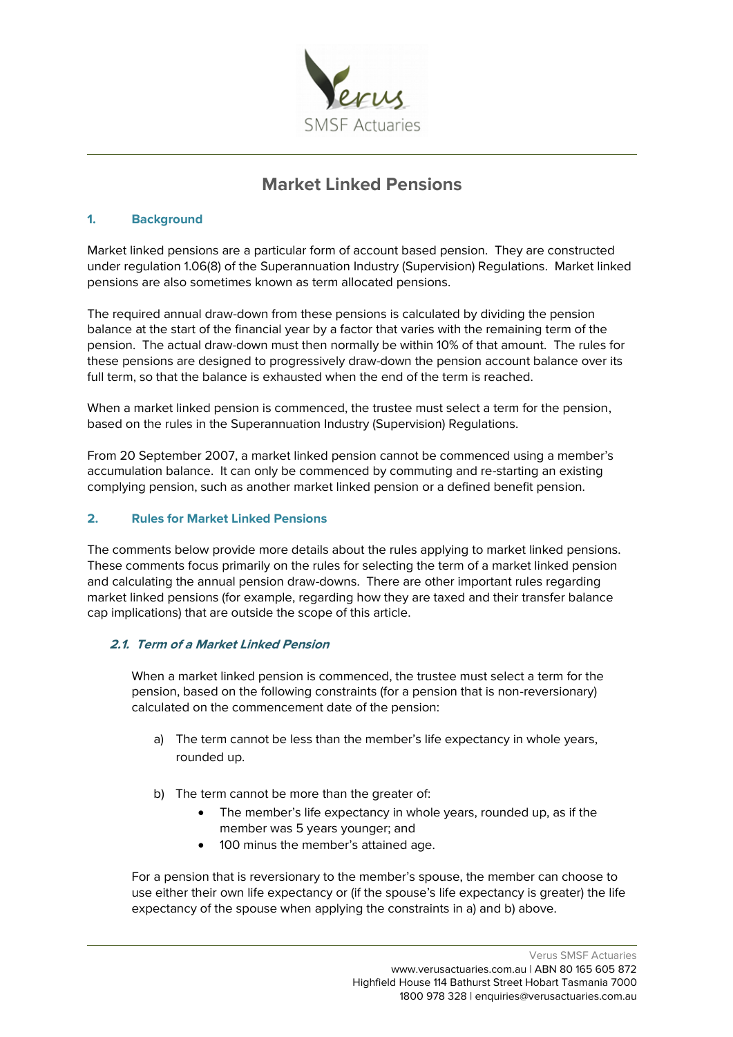

# **Market Linked Pensions**

### **1. Background**

Market linked pensions are a particular form of account based pension. They are constructed under regulation 1.06(8) of the Superannuation Industry (Supervision) Regulations. Market linked pensions are also sometimes known as term allocated pensions.

The required annual draw-down from these pensions is calculated by dividing the pension balance at the start of the financial year by a factor that varies with the remaining term of the pension. The actual draw-down must then normally be within 10% of that amount. The rules for these pensions are designed to progressively draw-down the pension account balance over its full term, so that the balance is exhausted when the end of the term is reached.

When a market linked pension is commenced, the trustee must select a term for the pension, based on the rules in the Superannuation Industry (Supervision) Regulations.

From 20 September 2007, a market linked pension cannot be commenced using a member's accumulation balance. It can only be commenced by commuting and re-starting an existing complying pension, such as another market linked pension or a defined benefit pension.

#### **2. Rules for Market Linked Pensions**

The comments below provide more details about the rules applying to market linked pensions. These comments focus primarily on the rules for selecting the term of a market linked pension and calculating the annual pension draw-downs. There are other important rules regarding market linked pensions (for example, regarding how they are taxed and their transfer balance cap implications) that are outside the scope of this article.

## **2.1. Term of a Market Linked Pension**

When a market linked pension is commenced, the trustee must select a term for the pension, based on the following constraints (for a pension that is non-reversionary) calculated on the commencement date of the pension:

- a) The term cannot be less than the member's life expectancy in whole years, rounded up.
- b) The term cannot be more than the greater of:
	- The member's life expectancy in whole years, rounded up, as if the member was 5 years younger; and
	- 100 minus the member's attained age.

For a pension that is reversionary to the member's spouse, the member can choose to use either their own life expectancy or (if the spouse's life expectancy is greater) the life expectancy of the spouse when applying the constraints in a) and b) above.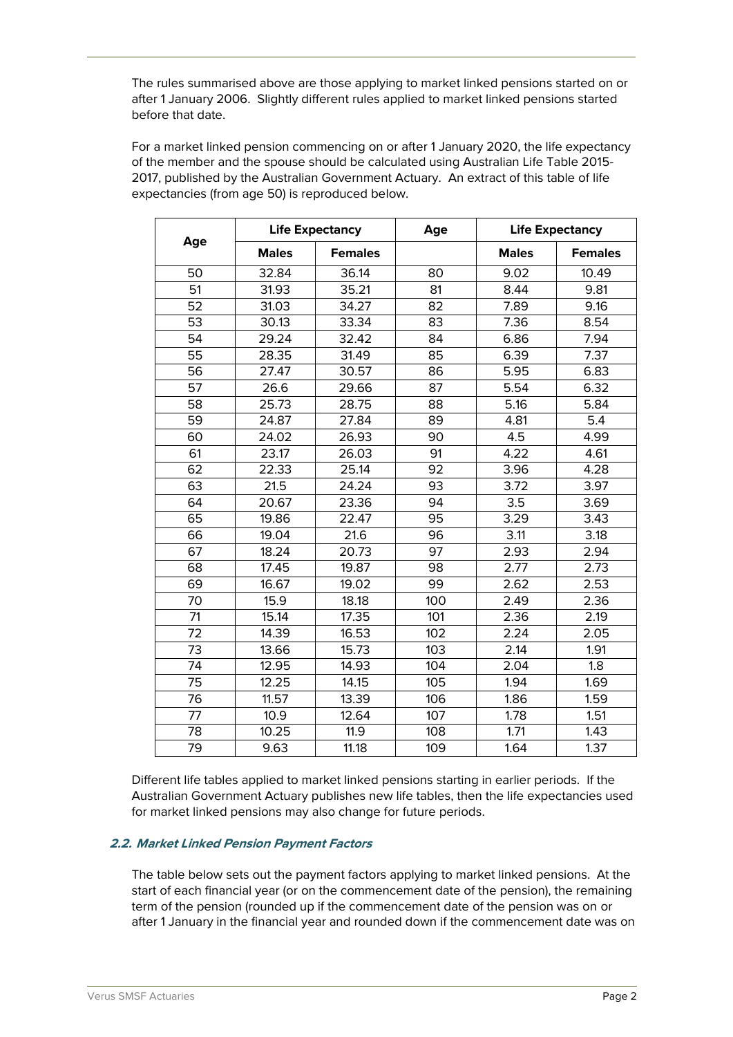The rules summarised above are those applying to market linked pensions started on or after 1 January 2006. Slightly different rules applied to market linked pensions started before that date.

For a market linked pension commencing on or after 1 January 2020, the life expectancy of the member and the spouse should be calculated using Australian Life Table 2015- 2017, published by the Australian Government Actuary. An extract of this table of life expectancies (from age 50) is reproduced below.

| Age | <b>Life Expectancy</b> |                | Age | <b>Life Expectancy</b> |                |
|-----|------------------------|----------------|-----|------------------------|----------------|
|     | <b>Males</b>           | <b>Females</b> |     | <b>Males</b>           | <b>Females</b> |
| 50  | 32.84                  | 36.14          | 80  | 9.02                   | 10.49          |
| 51  | 31.93                  | 35.21          | 81  | 8.44                   | 9.81           |
| 52  | 31.03                  | 34.27          | 82  | 7.89                   | 9.16           |
| 53  | 30.13                  | 33.34          | 83  | 7.36                   | 8.54           |
| 54  | 29.24                  | 32.42          | 84  | 6.86                   | 7.94           |
| 55  | 28.35                  | 31.49          | 85  | 6.39                   | 7.37           |
| 56  | 27.47                  | 30.57          | 86  | 5.95                   | 6.83           |
| 57  | 26.6                   | 29.66          | 87  | 5.54                   | 6.32           |
| 58  | 25.73                  | 28.75          | 88  | 5.16                   | 5.84           |
| 59  | 24.87                  | 27.84          | 89  | 4.81                   | 5.4            |
| 60  | 24.02                  | 26.93          | 90  | 4.5                    | 4.99           |
| 61  | 23.17                  | 26.03          | 91  | 4.22                   | 4.61           |
| 62  | 22.33                  | 25.14          | 92  | 3.96                   | 4.28           |
| 63  | 21.5                   | 24.24          | 93  | 3.72                   | 3.97           |
| 64  | 20.67                  | 23.36          | 94  | 3.5                    | 3.69           |
| 65  | 19.86                  | 22.47          | 95  | 3.29                   | 3.43           |
| 66  | 19.04                  | 21.6           | 96  | 3.11                   | 3.18           |
| 67  | 18.24                  | 20.73          | 97  | 2.93                   | 2.94           |
| 68  | 17.45                  | 19.87          | 98  | 2.77                   | 2.73           |
| 69  | 16.67                  | 19.02          | 99  | 2.62                   | 2.53           |
| 70  | 15.9                   | 18.18          | 100 | 2.49                   | 2.36           |
| 71  | 15.14                  | 17.35          | 101 | 2.36                   | 2.19           |
| 72  | 14.39                  | 16.53          | 102 | 2.24                   | 2.05           |
| 73  | 13.66                  | 15.73          | 103 | 2.14                   | 1.91           |
| 74  | 12.95                  | 14.93          | 104 | 2.04                   | 1.8            |
| 75  | 12.25                  | 14.15          | 105 | 1.94                   | 1.69           |
| 76  | 11.57                  | 13.39          | 106 | 1.86                   | 1.59           |
| 77  | 10.9                   | 12.64          | 107 | 1.78                   | 1.51           |
| 78  | 10.25                  | 11.9           | 108 | 1.71                   | 1.43           |
| 79  | 9.63                   | 11.18          | 109 | 1.64                   | 1.37           |

Different life tables applied to market linked pensions starting in earlier periods. If the Australian Government Actuary publishes new life tables, then the life expectancies used for market linked pensions may also change for future periods.

## **2.2. Market Linked Pension Payment Factors**

The table below sets out the payment factors applying to market linked pensions. At the start of each financial year (or on the commencement date of the pension), the remaining term of the pension (rounded up if the commencement date of the pension was on or after 1 January in the financial year and rounded down if the commencement date was on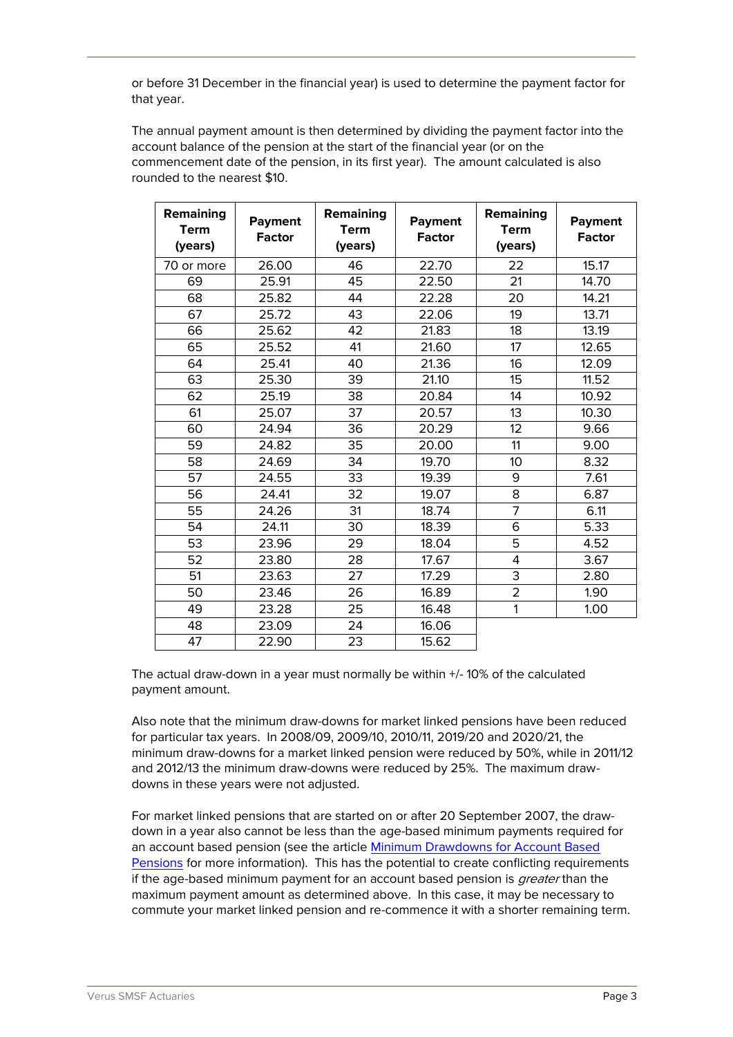or before 31 December in the financial year) is used to determine the payment factor for that year.

The annual payment amount is then determined by dividing the payment factor into the account balance of the pension at the start of the financial year (or on the commencement date of the pension, in its first year). The amount calculated is also rounded to the nearest \$10.

| Remaining<br><b>Term</b><br>(years) | <b>Payment</b><br><b>Factor</b> | Remaining<br><b>Term</b><br>(years) | <b>Payment</b><br><b>Factor</b> | Remaining<br><b>Term</b><br>(years) | <b>Payment</b><br><b>Factor</b> |
|-------------------------------------|---------------------------------|-------------------------------------|---------------------------------|-------------------------------------|---------------------------------|
| 70 or more                          | 26.00                           | 46                                  | 22.70                           | 22                                  | 15.17                           |
| 69                                  | 25.91                           | 45                                  | 22.50                           | 21                                  | 14.70                           |
| 68                                  | 25.82                           | 44                                  | 22.28                           | 20                                  | 14.21                           |
| 67                                  | 25.72                           | 43                                  | 22.06                           | 19                                  | 13.71                           |
| 66                                  | 25.62                           | 42                                  | 21.83                           | 18                                  | 13.19                           |
| 65                                  | 25.52                           | 41                                  | 21.60                           | 17                                  | 12.65                           |
| 64                                  | 25.41                           | 40                                  | 21.36                           | 16                                  | 12.09                           |
| 63                                  | 25.30                           | 39                                  | 21.10                           | 15                                  | 11.52                           |
| 62                                  | 25.19                           | 38                                  | 20.84                           | 14                                  | 10.92                           |
| 61                                  | 25.07                           | 37                                  | 20.57                           | 13                                  | 10.30                           |
| 60                                  | 24.94                           | 36                                  | 20.29                           | 12                                  | 9.66                            |
| 59                                  | 24.82                           | 35                                  | 20.00                           | 11                                  | 9.00                            |
| 58                                  | 24.69                           | 34                                  | 19.70                           | 10                                  | 8.32                            |
| 57                                  | 24.55                           | 33                                  | 19.39                           | 9                                   | 7.61                            |
| 56                                  | 24.41                           | 32                                  | 19.07                           | 8                                   | 6.87                            |
| 55                                  | 24.26                           | 31                                  | 18.74                           | $\overline{7}$                      | 6.11                            |
| 54                                  | 24.11                           | 30                                  | 18.39                           | 6                                   | 5.33                            |
| 53                                  | 23.96                           | 29                                  | 18.04                           | 5                                   | 4.52                            |
| 52                                  | 23.80                           | 28                                  | 17.67                           | 4                                   | 3.67                            |
| 51                                  | 23.63                           | 27                                  | 17.29                           | 3                                   | 2.80                            |
| 50                                  | 23.46                           | 26                                  | 16.89                           | $\overline{2}$                      | 1.90                            |
| 49                                  | 23.28                           | 25                                  | 16.48                           | 1                                   | 1.00                            |
| 48                                  | 23.09                           | 24                                  | 16.06                           |                                     |                                 |
| 47                                  | 22.90                           | 23                                  | 15.62                           |                                     |                                 |

The actual draw-down in a year must normally be within +/- 10% of the calculated payment amount.

Also note that the minimum draw-downs for market linked pensions have been reduced for particular tax years. In 2008/09, 2009/10, 2010/11, 2019/20 and 2020/21, the minimum draw-downs for a market linked pension were reduced by 50%, while in 2011/12 and 2012/13 the minimum draw-downs were reduced by 25%. The maximum drawdowns in these years were not adjusted.

For market linked pensions that are started on or after 20 September 2007, the drawdown in a year also cannot be less than the age-based minimum payments required for an account based pension (see the article [Minimum Drawdowns for Account Based](https://www.verusactuaries.com.au/FileServe/Minimum%20Drawdowns%20for%20Account-Based%20Pensions.pdf)  [Pensions](https://www.verusactuaries.com.au/FileServe/Minimum%20Drawdowns%20for%20Account-Based%20Pensions.pdf) for more information). This has the potential to create conflicting requirements if the age-based minimum payment for an account based pension is *greater* than the maximum payment amount as determined above. In this case, it may be necessary to commute your market linked pension and re-commence it with a shorter remaining term.